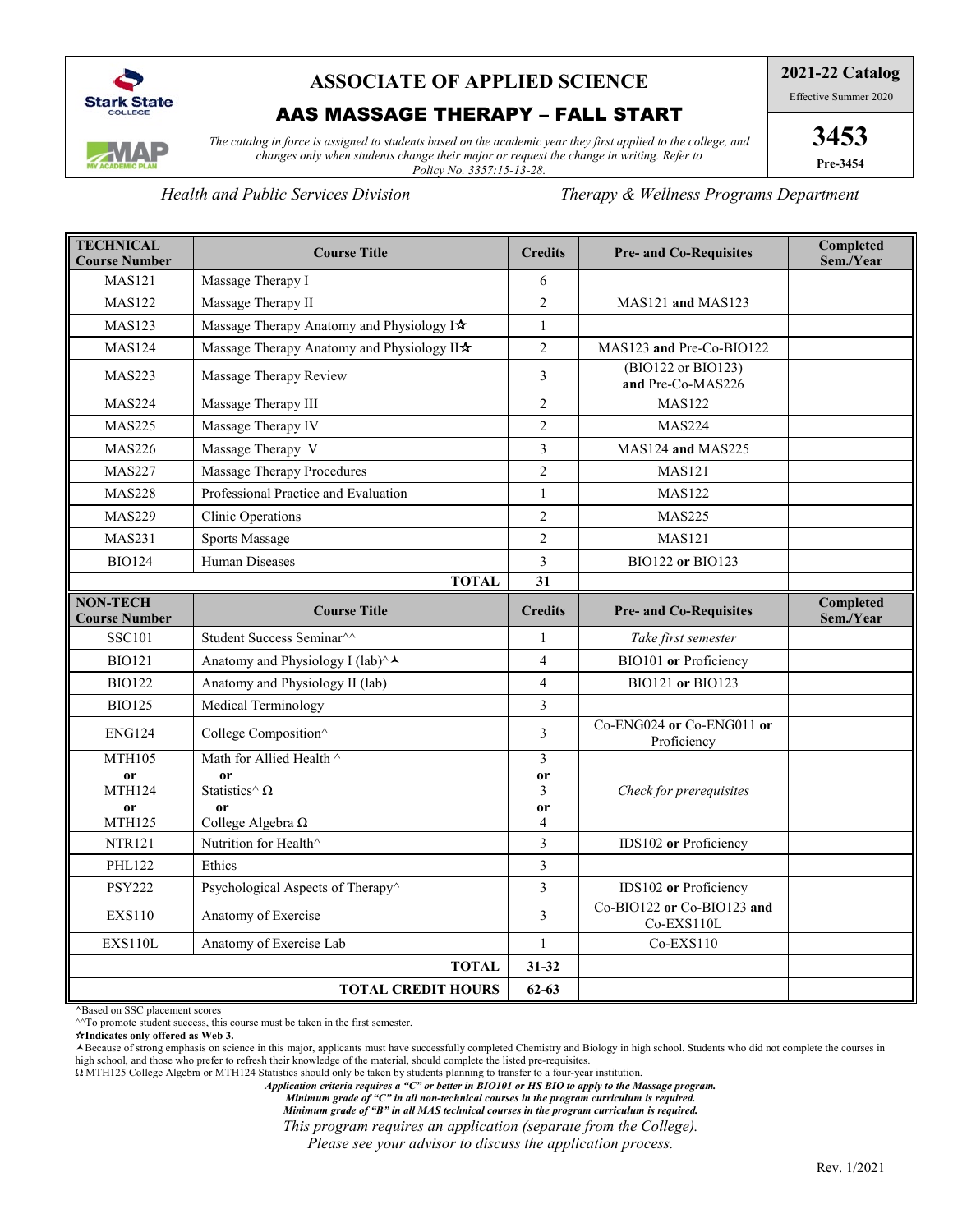

# **ASSOCIATE OF APPLIED SCIENCE**

## AAS MASSAGE THERAPY – FALL START

*The catalog in force is assigned to students based on the academic year they first applied to the college, and changes only when students change their major or request the change in writing. Refer to Policy No. 3357:15-13-28.*

*Health and Public Services Division Therapy & Wellness Programs Department*

| <b>TECHNICAL</b><br><b>Course Number</b> | <b>Course Title</b>                        | <b>Credits</b>          | <b>Pre- and Co-Requisites</b>            | Completed<br>Sem./Year |
|------------------------------------------|--------------------------------------------|-------------------------|------------------------------------------|------------------------|
| <b>MAS121</b>                            | Massage Therapy I                          | 6                       |                                          |                        |
| <b>MAS122</b>                            | Massage Therapy II                         | $\overline{2}$          | MAS121 and MAS123                        |                        |
| <b>MAS123</b>                            | Massage Therapy Anatomy and Physiology I*  | 1                       |                                          |                        |
| <b>MAS124</b>                            | Massage Therapy Anatomy and Physiology II* | $\overline{c}$          | MAS123 and Pre-Co-BIO122                 |                        |
| <b>MAS223</b>                            | Massage Therapy Review                     | $\overline{3}$          | (BIO122 or BIO123)<br>and Pre-Co-MAS226  |                        |
| <b>MAS224</b>                            | Massage Therapy III                        | $\mathfrak{2}$          | <b>MAS122</b>                            |                        |
| <b>MAS225</b>                            | Massage Therapy IV                         | $\overline{2}$          | <b>MAS224</b>                            |                        |
| <b>MAS226</b>                            | Massage Therapy V                          | $\overline{\mathbf{3}}$ | MAS124 and MAS225                        |                        |
| <b>MAS227</b>                            | Massage Therapy Procedures                 | $\overline{2}$          | <b>MAS121</b>                            |                        |
| <b>MAS228</b>                            | Professional Practice and Evaluation       | $\mathbf{1}$            | <b>MAS122</b>                            |                        |
| <b>MAS229</b>                            | Clinic Operations                          | $\overline{2}$          | <b>MAS225</b>                            |                        |
| <b>MAS231</b>                            | <b>Sports Massage</b>                      | $\overline{c}$          | <b>MAS121</b>                            |                        |
| <b>BIO124</b>                            | Human Diseases                             | 3                       | <b>BIO122 or BIO123</b>                  |                        |
| <b>TOTAL</b>                             |                                            | 31                      |                                          |                        |
| <b>NON-TECH</b><br><b>Course Number</b>  | <b>Course Title</b>                        | <b>Credits</b>          | <b>Pre- and Co-Requisites</b>            | Completed<br>Sem./Year |
| <b>SSC101</b>                            | Student Success Seminar^^                  | 1                       | Take first semester                      |                        |
| <b>BIO121</b>                            | Anatomy and Physiology I (lab)^▲           | 4                       | BIO101 or Proficiency                    |                        |
| <b>BIO122</b>                            | Anatomy and Physiology II (lab)            | $\overline{4}$          | BIO121 or BIO123                         |                        |
| <b>BIO125</b>                            | Medical Terminology                        | $\overline{3}$          |                                          |                        |
| <b>ENG124</b>                            | College Composition^                       | 3                       | Co-ENG024 or Co-ENG011 or<br>Proficiency |                        |
| <b>MTH105</b>                            | Math for Allied Health ^                   | 3                       |                                          |                        |
| or<br><b>MTH124</b>                      | or<br>Statistics^ $\Omega$                 | or<br>3                 | Check for prerequisites                  |                        |
| or                                       | or                                         | or                      |                                          |                        |
| <b>MTH125</b>                            | College Algebra $\Omega$                   | 4                       |                                          |                        |
| <b>NTR121</b>                            | Nutrition for Health^                      | $\overline{3}$          | IDS102 or Proficiency                    |                        |
| <b>PHL122</b>                            | Ethics                                     | 3                       |                                          |                        |
| <b>PSY222</b>                            | Psychological Aspects of Therapy^          | $\overline{\mathbf{3}}$ | IDS102 or Proficiency                    |                        |
| <b>EXS110</b>                            | Anatomy of Exercise                        | $\overline{3}$          | Co-BIO122 or Co-BIO123 and<br>Co-EXS110L |                        |
| <b>EXS110L</b>                           | Anatomy of Exercise Lab                    | $\mathbf{1}$            | $Co$ -EXS $110$                          |                        |
| <b>TOTAL</b>                             |                                            | 31-32                   |                                          |                        |
|                                          | <b>TOTAL CREDIT HOURS</b>                  | $62 - 63$               |                                          |                        |

**^**Based on SSC placement scores

 $\gamma$ <sup> $\land$ </sup>To promote student success, this course must be taken in the first semester.

**Indicates only offered as Web 3.**

Because of strong emphasis on science in this major, applicants must have successfully completed Chemistry and Biology in high school. Students who did not complete the courses in high school, and those who prefer to refresh their knowledge of the material, should complete the listed pre-requisites.

Ω MTH125 College Algebra or MTH124 Statistics should only be taken by students planning to transfer to a four-year institution.

*Application criteria requires a "C" or better in BIO101 or HS BIO to apply to the Massage program.*

*Minimum grade of "C" in all non-technical courses in the program curriculum is required.*

*Minimum grade of "B" in all MAS technical courses in the program curriculum is required.*

*This program requires an application (separate from the College).* 

*Please see your advisor to discuss the application process.*

**2021-22 Catalog**

Effective Summer 2020

**3453 Pre-3454**